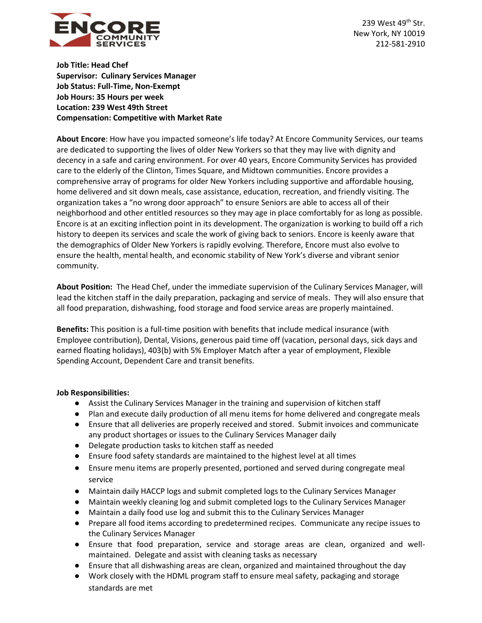

239 West 49th Str. New York, NY 10019 212-581-2910

**Job Title: Head Chef Supervisor: Culinary Services Manager Job Status: Full-Time, Non-Exempt Job Hours: 35 Hours per week Location: 239 West 49th Street Compensation: Competitive with Market Rate**

**About Encore**: How have you impacted someone's life today? At Encore Community Services, our teams are dedicated to supporting the lives of older New Yorkers so that they may live with dignity and decency in a safe and caring environment. For over 40 years, Encore Community Services has provided care to the elderly of the Clinton, Times Square, and Midtown communities. Encore provides a comprehensive array of programs for older New Yorkers including supportive and affordable housing, home delivered and sit down meals, case assistance, education, recreation, and friendly visiting. The organization takes a "no wrong door approach" to ensure Seniors are able to access all of their neighborhood and other entitled resources so they may age in place comfortably for as long as possible. Encore is at an exciting inflection point in its development. The organization is working to build off a rich history to deepen its services and scale the work of giving back to seniors. Encore is keenly aware that the demographics of Older New Yorkers is rapidly evolving. Therefore, Encore must also evolve to ensure the health, mental health, and economic stability of New York's diverse and vibrant senior community.

**About Position:** The Head Chef, under the immediate supervision of the Culinary Services Manager, will lead the kitchen staff in the daily preparation, packaging and service of meals. They will also ensure that all food preparation, dishwashing, food storage and food service areas are properly maintained.

**Benefits:** This position is a full-time position with benefits that include medical insurance (with Employee contribution), Dental, Visions, generous paid time off (vacation, personal days, sick days and earned floating holidays), 403(b) with 5% Employer Match after a year of employment, Flexible Spending Account, Dependent Care and transit benefits.

## **Job Responsibilities:**

- Assist the Culinary Services Manager in the training and supervision of kitchen staff
- Plan and execute daily production of all menu items for home delivered and congregate meals
- Ensure that all deliveries are properly received and stored. Submit invoices and communicate any product shortages or issues to the Culinary Services Manager daily
- Delegate production tasks to kitchen staff as needed
- Ensure food safety standards are maintained to the highest level at all times
- Ensure menu items are properly presented, portioned and served during congregate meal service
- Maintain daily HACCP logs and submit completed logs to the Culinary Services Manager
- Maintain weekly cleaning log and submit completed logs to the Culinary Services Manager
- Maintain a daily food use log and submit this to the Culinary Services Manager
- Prepare all food items according to predetermined recipes. Communicate any recipe issues to the Culinary Services Manager
- Ensure that food preparation, service and storage areas are clean, organized and wellmaintained. Delegate and assist with cleaning tasks as necessary
- Ensure that all dishwashing areas are clean, organized and maintained throughout the day
- Work closely with the HDML program staff to ensure meal safety, packaging and storage standards are met